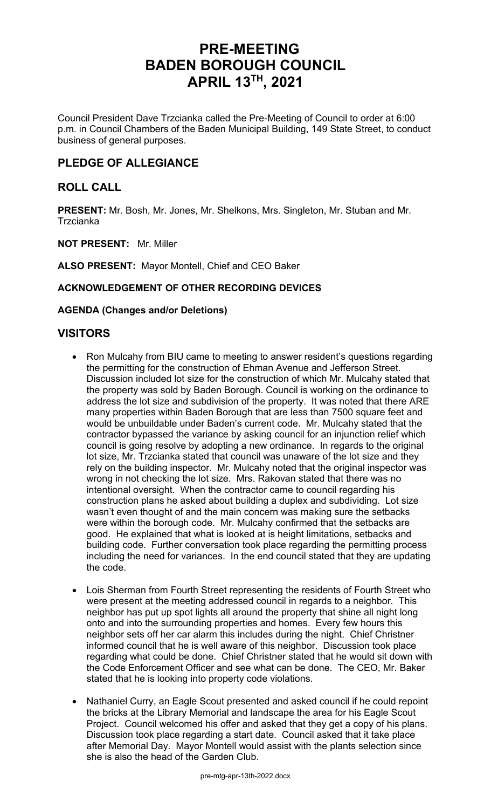# **PRE-MEETING BADEN BOROUGH COUNCIL APRIL 13TH , 2021**

Council President Dave Trzcianka called the Pre-Meeting of Council to order at 6:00 p.m. in Council Chambers of the Baden Municipal Building, 149 State Street, to conduct business of general purposes.

# **PLEDGE OF ALLEGIANCE**

# **ROLL CALL**

**PRESENT:** Mr. Bosh, Mr. Jones, Mr. Shelkons, Mrs. Singleton, Mr. Stuban and Mr. **Trzcianka** 

**NOT PRESENT:** Mr. Miller

**ALSO PRESENT:** Mayor Montell, Chief and CEO Baker

# **ACKNOWLEDGEMENT OF OTHER RECORDING DEVICES**

### **AGENDA (Changes and/or Deletions)**

# **VISITORS**

- Ron Mulcahy from BIU came to meeting to answer resident's questions regarding the permitting for the construction of Ehman Avenue and Jefferson Street. Discussion included lot size for the construction of which Mr. Mulcahy stated that the property was sold by Baden Borough. Council is working on the ordinance to address the lot size and subdivision of the property. It was noted that there ARE many properties within Baden Borough that are less than 7500 square feet and would be unbuildable under Baden's current code. Mr. Mulcahy stated that the contractor bypassed the variance by asking council for an injunction relief which council is going resolve by adopting a new ordinance. In regards to the original lot size, Mr. Trzcianka stated that council was unaware of the lot size and they rely on the building inspector. Mr. Mulcahy noted that the original inspector was wrong in not checking the lot size. Mrs. Rakovan stated that there was no intentional oversight. When the contractor came to council regarding his construction plans he asked about building a duplex and subdividing. Lot size wasn't even thought of and the main concern was making sure the setbacks were within the borough code. Mr. Mulcahy confirmed that the setbacks are good. He explained that what is looked at is height limitations, setbacks and building code. Further conversation took place regarding the permitting process including the need for variances. In the end council stated that they are updating the code.
- Lois Sherman from Fourth Street representing the residents of Fourth Street who were present at the meeting addressed council in regards to a neighbor. This neighbor has put up spot lights all around the property that shine all night long onto and into the surrounding properties and homes. Every few hours this neighbor sets off her car alarm this includes during the night. Chief Christner informed council that he is well aware of this neighbor. Discussion took place regarding what could be done. Chief Christner stated that he would sit down with the Code Enforcement Officer and see what can be done. The CEO, Mr. Baker stated that he is looking into property code violations.
- Nathaniel Curry, an Eagle Scout presented and asked council if he could repoint the bricks at the Library Memorial and landscape the area for his Eagle Scout Project. Council welcomed his offer and asked that they get a copy of his plans. Discussion took place regarding a start date. Council asked that it take place after Memorial Day. Mayor Montell would assist with the plants selection since she is also the head of the Garden Club.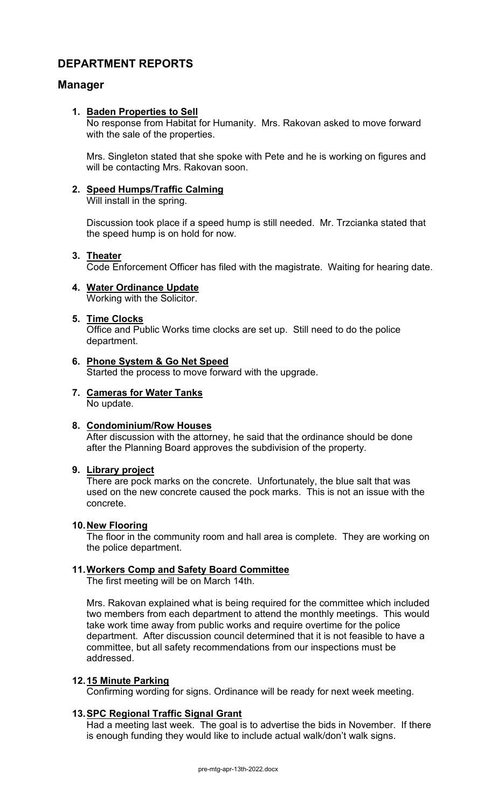# **DEPARTMENT REPORTS**

# **Manager**

### **1. Baden Properties to Sell**

No response from Habitat for Humanity. Mrs. Rakovan asked to move forward with the sale of the properties.

Mrs. Singleton stated that she spoke with Pete and he is working on figures and will be contacting Mrs. Rakovan soon.

### **2. Speed Humps/Traffic Calming**

Will install in the spring.

Discussion took place if a speed hump is still needed. Mr. Trzcianka stated that the speed hump is on hold for now.

#### **3. Theater**

Code Enforcement Officer has filed with the magistrate. Waiting for hearing date.

#### **4. Water Ordinance Update** Working with the Solicitor.

#### **5. Time Clocks**

Office and Public Works time clocks are set up. Still need to do the police department.

# **6. Phone System & Go Net Speed**

Started the process to move forward with the upgrade.

#### **7. Cameras for Water Tanks** No update.

# **8. Condominium/Row Houses**

After discussion with the attorney, he said that the ordinance should be done after the Planning Board approves the subdivision of the property.

#### **9. Library project**

There are pock marks on the concrete. Unfortunately, the blue salt that was used on the new concrete caused the pock marks. This is not an issue with the concrete.

#### **10.New Flooring**

The floor in the community room and hall area is complete. They are working on the police department.

# **11.Workers Comp and Safety Board Committee**

The first meeting will be on March 14th.

Mrs. Rakovan explained what is being required for the committee which included two members from each department to attend the monthly meetings. This would take work time away from public works and require overtime for the police department. After discussion council determined that it is not feasible to have a committee, but all safety recommendations from our inspections must be addressed.

#### **12.15 Minute Parking**

Confirming wording for signs. Ordinance will be ready for next week meeting.

# **13.SPC Regional Traffic Signal Grant**

Had a meeting last week. The goal is to advertise the bids in November. If there is enough funding they would like to include actual walk/don't walk signs.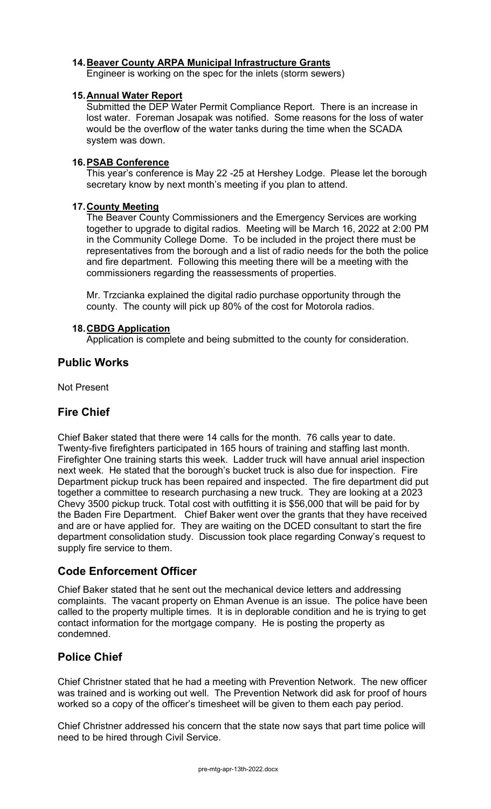# **14.Beaver County ARPA Municipal Infrastructure Grants**

Engineer is working on the spec for the inlets (storm sewers)

#### **15.Annual Water Report**

Submitted the DEP Water Permit Compliance Report. There is an increase in lost water. Foreman Josapak was notified. Some reasons for the loss of water would be the overflow of the water tanks during the time when the SCADA system was down.

#### **16.PSAB Conference**

This year's conference is May 22 -25 at Hershey Lodge. Please let the borough secretary know by next month's meeting if you plan to attend.

#### **17.County Meeting**

The Beaver County Commissioners and the Emergency Services are working together to upgrade to digital radios. Meeting will be March 16, 2022 at 2:00 PM in the Community College Dome. To be included in the project there must be representatives from the borough and a list of radio needs for the both the police and fire department. Following this meeting there will be a meeting with the commissioners regarding the reassessments of properties.

Mr. Trzcianka explained the digital radio purchase opportunity through the county. The county will pick up 80% of the cost for Motorola radios.

#### **18.CBDG Application**

Application is complete and being submitted to the county for consideration.

# **Public Works**

Not Present

# **Fire Chief**

Chief Baker stated that there were 14 calls for the month. 76 calls year to date. Twenty-five firefighters participated in 165 hours of training and staffing last month. Firefighter One training starts this week. Ladder truck will have annual ariel inspection next week. He stated that the borough's bucket truck is also due for inspection. Fire Department pickup truck has been repaired and inspected. The fire department did put together a committee to research purchasing a new truck. They are looking at a 2023 Chevy 3500 pickup truck. Total cost with outfitting it is \$56,000 that will be paid for by the Baden Fire Department. Chief Baker went over the grants that they have received and are or have applied for. They are waiting on the DCED consultant to start the fire department consolidation study. Discussion took place regarding Conway's request to supply fire service to them.

# **Code Enforcement Officer**

Chief Baker stated that he sent out the mechanical device letters and addressing complaints. The vacant property on Ehman Avenue is an issue. The police have been called to the property multiple times. It is in deplorable condition and he is trying to get contact information for the mortgage company. He is posting the property as condemned.

# **Police Chief**

Chief Christner stated that he had a meeting with Prevention Network. The new officer was trained and is working out well. The Prevention Network did ask for proof of hours worked so a copy of the officer's timesheet will be given to them each pay period.

Chief Christner addressed his concern that the state now says that part time police will need to be hired through Civil Service.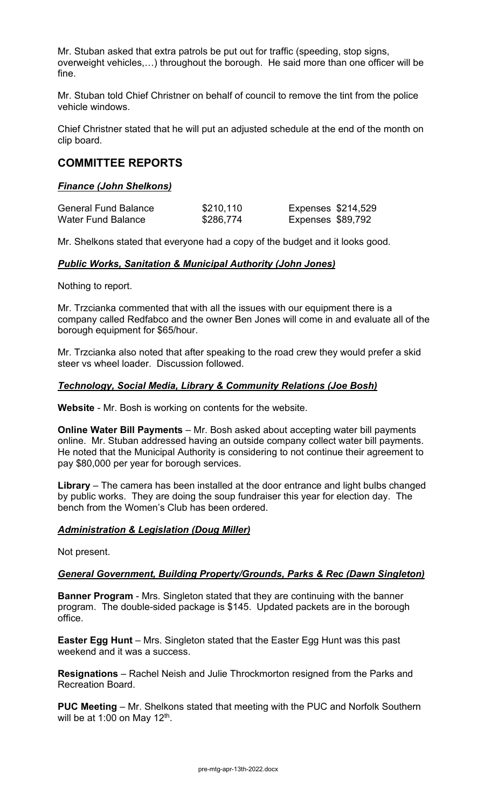Mr. Stuban asked that extra patrols be put out for traffic (speeding, stop signs, overweight vehicles,…) throughout the borough. He said more than one officer will be fine.

Mr. Stuban told Chief Christner on behalf of council to remove the tint from the police vehicle windows.

Chief Christner stated that he will put an adjusted schedule at the end of the month on clip board.

# **COMMITTEE REPORTS**

### *Finance (John Shelkons)*

| <b>General Fund Balance</b> | \$210,110 | <b>Expenses \$214,529</b> |  |
|-----------------------------|-----------|---------------------------|--|
| <b>Water Fund Balance</b>   | \$286,774 | Expenses \$89,792         |  |

Mr. Shelkons stated that everyone had a copy of the budget and it looks good.

### *Public Works, Sanitation & Municipal Authority (John Jones)*

Nothing to report.

Mr. Trzcianka commented that with all the issues with our equipment there is a company called Redfabco and the owner Ben Jones will come in and evaluate all of the borough equipment for \$65/hour.

Mr. Trzcianka also noted that after speaking to the road crew they would prefer a skid steer vs wheel loader. Discussion followed.

# *Technology, Social Media, Library & Community Relations (Joe Bosh)*

**Website** - Mr. Bosh is working on contents for the website.

**Online Water Bill Payments** – Mr. Bosh asked about accepting water bill payments online. Mr. Stuban addressed having an outside company collect water bill payments. He noted that the Municipal Authority is considering to not continue their agreement to pay \$80,000 per year for borough services.

**Library** – The camera has been installed at the door entrance and light bulbs changed by public works. They are doing the soup fundraiser this year for election day. The bench from the Women's Club has been ordered.

# *Administration & Legislation (Doug Miller)*

Not present.

#### *General Government, Building Property/Grounds, Parks & Rec (Dawn Singleton)*

**Banner Program** - Mrs. Singleton stated that they are continuing with the banner program. The double-sided package is \$145. Updated packets are in the borough office.

**Easter Egg Hunt** – Mrs. Singleton stated that the Easter Egg Hunt was this past weekend and it was a success.

**Resignations** – Rachel Neish and Julie Throckmorton resigned from the Parks and Recreation Board.

**PUC Meeting** – Mr. Shelkons stated that meeting with the PUC and Norfolk Southern will be at 1:00 on May  $12<sup>th</sup>$ .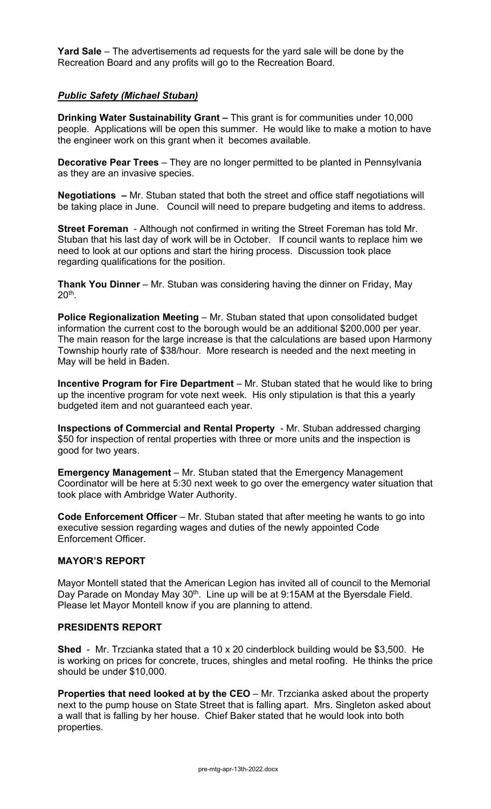**Yard Sale** – The advertisements ad requests for the yard sale will be done by the Recreation Board and any profits will go to the Recreation Board.

### *Public Safety (Michael Stuban)*

**Drinking Water Sustainability Grant –** This grant is for communities under 10,000 people. Applications will be open this summer. He would like to make a motion to have the engineer work on this grant when it becomes available.

**Decorative Pear Trees** – They are no longer permitted to be planted in Pennsylvania as they are an invasive species.

**Negotiations –** Mr. Stuban stated that both the street and office staff negotiations will be taking place in June. Council will need to prepare budgeting and items to address.

**Street Foreman** - Although not confirmed in writing the Street Foreman has told Mr. Stuban that his last day of work will be in October. If council wants to replace him we need to look at our options and start the hiring process. Discussion took place regarding qualifications for the position.

**Thank You Dinner** – Mr. Stuban was considering having the dinner on Friday, May  $20<sup>th</sup>$ .

**Police Regionalization Meeting - Mr. Stuban stated that upon consolidated budget** information the current cost to the borough would be an additional \$200,000 per year. The main reason for the large increase is that the calculations are based upon Harmony Township hourly rate of \$38/hour. More research is needed and the next meeting in May will be held in Baden.

**Incentive Program for Fire Department** – Mr. Stuban stated that he would like to bring up the incentive program for vote next week. His only stipulation is that this a yearly budgeted item and not guaranteed each year.

**Inspections of Commercial and Rental Property** - Mr. Stuban addressed charging \$50 for inspection of rental properties with three or more units and the inspection is good for two years.

**Emergency Management** – Mr. Stuban stated that the Emergency Management Coordinator will be here at 5:30 next week to go over the emergency water situation that took place with Ambridge Water Authority.

**Code Enforcement Officer** – Mr. Stuban stated that after meeting he wants to go into executive session regarding wages and duties of the newly appointed Code Enforcement Officer.

#### **MAYOR'S REPORT**

Mayor Montell stated that the American Legion has invited all of council to the Memorial Day Parade on Monday May 30<sup>th</sup>. Line up will be at 9:15AM at the Byersdale Field. Please let Mayor Montell know if you are planning to attend.

# **PRESIDENTS REPORT**

**Shed** - Mr. Trzcianka stated that a 10 x 20 cinderblock building would be \$3,500. He is working on prices for concrete, truces, shingles and metal roofing. He thinks the price should be under \$10,000.

**Properties that need looked at by the CEO** – Mr. Trzcianka asked about the property next to the pump house on State Street that is falling apart. Mrs. Singleton asked about a wall that is falling by her house. Chief Baker stated that he would look into both properties.